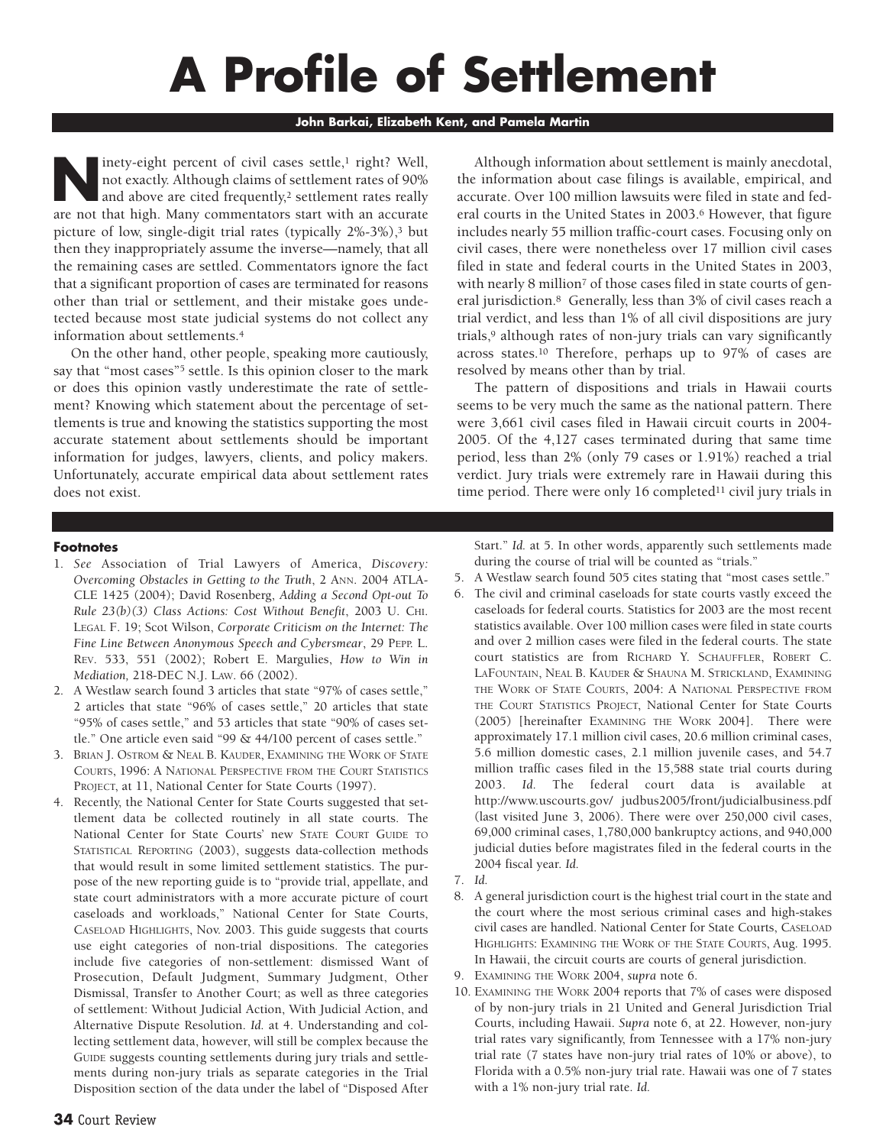# **A Profile of Settlement**

## **John Barkai, Elizabeth Kent, and Pamela Martin**

**Notice 1980** inety-eight percent of civil cases settle,<sup>1</sup> right? Well,<br>not exactly. Although claims of settlement rates of 90%<br>and above are cited frequently,<sup>2</sup> settlement rates really not exactly. Although claims of settlement rates of 90% and above are cited frequently,<sup>2</sup> settlement rates really are not that high. Many commentators start with an accurate picture of low, single-digit trial rates (typically 2%-3%),3 but then they inappropriately assume the inverse—namely, that all the remaining cases are settled. Commentators ignore the fact that a significant proportion of cases are terminated for reasons other than trial or settlement, and their mistake goes undetected because most state judicial systems do not collect any information about settlements.4

On the other hand, other people, speaking more cautiously, say that "most cases"<sup>5</sup> settle. Is this opinion closer to the mark or does this opinion vastly underestimate the rate of settlement? Knowing which statement about the percentage of settlements is true and knowing the statistics supporting the most accurate statement about settlements should be important information for judges, lawyers, clients, and policy makers. Unfortunately, accurate empirical data about settlement rates does not exist.

Although information about settlement is mainly anecdotal, the information about case filings is available, empirical, and accurate. Over 100 million lawsuits were filed in state and federal courts in the United States in 2003.<sup>6</sup> However, that figure includes nearly 55 million traffic-court cases. Focusing only on civil cases, there were nonetheless over 17 million civil cases filed in state and federal courts in the United States in 2003, with nearly 8 million<sup>7</sup> of those cases filed in state courts of general jurisdiction.8 Generally, less than 3% of civil cases reach a trial verdict, and less than 1% of all civil dispositions are jury trials,<sup>9</sup> although rates of non-jury trials can vary significantly across states.10 Therefore, perhaps up to 97% of cases are resolved by means other than by trial.

The pattern of dispositions and trials in Hawaii courts seems to be very much the same as the national pattern. There were 3,661 civil cases filed in Hawaii circuit courts in 2004- 2005. Of the 4,127 cases terminated during that same time period, less than 2% (only 79 cases or 1.91%) reached a trial verdict. Jury trials were extremely rare in Hawaii during this time period. There were only  $16$  completed<sup>11</sup> civil jury trials in

# **Footnotes**

- 1. *See* Association of Trial Lawyers of America, *Discovery: Overcoming Obstacles in Getting to the Truth*, 2 ANN. 2004 ATLA-CLE 1425 (2004); David Rosenberg, *Adding a Second Opt-out To Rule 23(b)(3) Class Actions: Cost Without Benefit*, 2003 U. CHI. LEGAL F. 19; Scot Wilson, *Corporate Criticism on the Internet: The Fine Line Between Anonymous Speech and Cybersmear*, 29 PEPP. L. REV. 533, 551 (2002); Robert E. Margulies, *How to Win in Mediation,* 218-DEC N.J. LAW. 66 (2002).
- 2. A Westlaw search found 3 articles that state "97% of cases settle," 2 articles that state "96% of cases settle," 20 articles that state "95% of cases settle," and 53 articles that state "90% of cases settle." One article even said "99 & 44/100 percent of cases settle."
- 3. BRIAN J. OSTROM & NEAL B. KAUDER, EXAMINING THE WORK OF STATE COURTS, 1996: A NATIONAL PERSPECTIVE FROM THE COURT STATISTICS PROJECT, at 11, National Center for State Courts (1997).
- 4. Recently, the National Center for State Courts suggested that settlement data be collected routinely in all state courts. The National Center for State Courts' new STATE COURT GUIDE TO STATISTICAL REPORTING (2003), suggests data-collection methods that would result in some limited settlement statistics. The purpose of the new reporting guide is to "provide trial, appellate, and state court administrators with a more accurate picture of court caseloads and workloads," National Center for State Courts, CASELOAD HIGHLIGHTS, Nov. 2003. This guide suggests that courts use eight categories of non-trial dispositions. The categories include five categories of non-settlement: dismissed Want of Prosecution, Default Judgment, Summary Judgment, Other Dismissal, Transfer to Another Court; as well as three categories of settlement: Without Judicial Action, With Judicial Action, and Alternative Dispute Resolution. *Id.* at 4. Understanding and collecting settlement data, however, will still be complex because the GUIDE suggests counting settlements during jury trials and settlements during non-jury trials as separate categories in the Trial Disposition section of the data under the label of "Disposed After

Start." *Id.* at 5. In other words, apparently such settlements made during the course of trial will be counted as "trials."

- 5. A Westlaw search found 505 cites stating that "most cases settle."
- 6. The civil and criminal caseloads for state courts vastly exceed the caseloads for federal courts. Statistics for 2003 are the most recent statistics available. Over 100 million cases were filed in state courts and over 2 million cases were filed in the federal courts. The state court statistics are from RICHARD Y. SCHAUFFLER, ROBERT C. LAFOUNTAIN, NEAL B. KAUDER & SHAUNA M. STRICKLAND, EXAMINING THE WORK OF STATE COURTS, 2004: A NATIONAL PERSPECTIVE FROM THE COURT STATISTICS PROJECT, National Center for State Courts (2005) [hereinafter EXAMINING THE WORK 2004]. There were approximately 17.1 million civil cases, 20.6 million criminal cases, 5.6 million domestic cases, 2.1 million juvenile cases, and 54.7 million traffic cases filed in the 15,588 state trial courts during 2003. *Id.* The federal court data is available at http://www.uscourts.gov/ judbus2005/front/judicialbusiness.pdf (last visited June 3, 2006). There were over 250,000 civil cases, 69,000 criminal cases, 1,780,000 bankruptcy actions, and 940,000 judicial duties before magistrates filed in the federal courts in the 2004 fiscal year. *Id.*
- 7. *Id.*
- 8. A general jurisdiction court is the highest trial court in the state and the court where the most serious criminal cases and high-stakes civil cases are handled. National Center for State Courts, CASELOAD HIGHLIGHTS: EXAMINING THE WORK OF THE STATE COURTS, Aug. 1995. In Hawaii, the circuit courts are courts of general jurisdiction.
- 9. EXAMINING THE WORK 2004, *supra* note 6.
- 10. EXAMINING THE WORK 2004 reports that 7% of cases were disposed of by non-jury trials in 21 United and General Jurisdiction Trial Courts, including Hawaii. *Supra* note 6, at 22. However, non-jury trial rates vary significantly, from Tennessee with a 17% non-jury trial rate (7 states have non-jury trial rates of 10% or above), to Florida with a 0.5% non-jury trial rate. Hawaii was one of 7 states with a 1% non-jury trial rate. *Id.*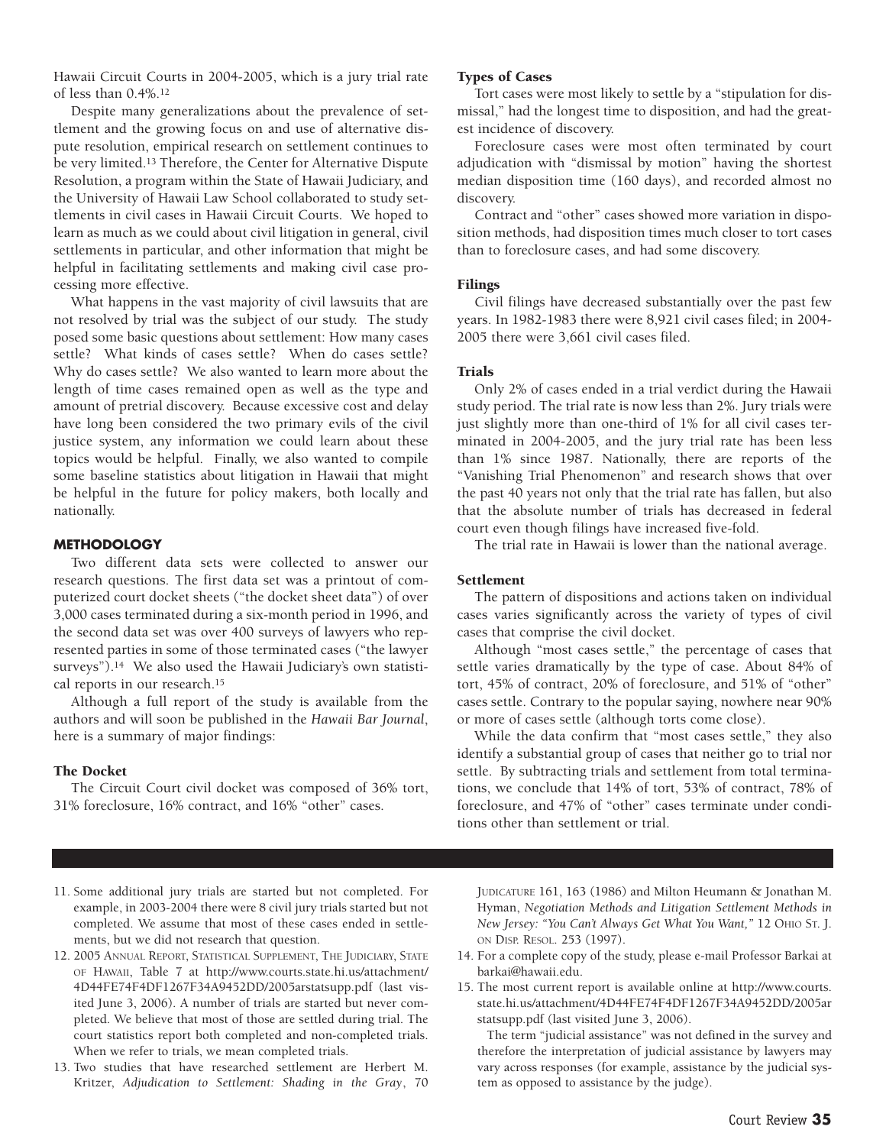Hawaii Circuit Courts in 2004-2005, which is a jury trial rate of less than 0.4%.12

Despite many generalizations about the prevalence of settlement and the growing focus on and use of alternative dispute resolution, empirical research on settlement continues to be very limited.13 Therefore, the Center for Alternative Dispute Resolution, a program within the State of Hawaii Judiciary, and the University of Hawaii Law School collaborated to study settlements in civil cases in Hawaii Circuit Courts. We hoped to learn as much as we could about civil litigation in general, civil settlements in particular, and other information that might be helpful in facilitating settlements and making civil case processing more effective.

What happens in the vast majority of civil lawsuits that are not resolved by trial was the subject of our study. The study posed some basic questions about settlement: How many cases settle? What kinds of cases settle? When do cases settle? Why do cases settle? We also wanted to learn more about the length of time cases remained open as well as the type and amount of pretrial discovery. Because excessive cost and delay have long been considered the two primary evils of the civil justice system, any information we could learn about these topics would be helpful. Finally, we also wanted to compile some baseline statistics about litigation in Hawaii that might be helpful in the future for policy makers, both locally and nationally.

# **METHODOLOGY**

Two different data sets were collected to answer our research questions. The first data set was a printout of computerized court docket sheets ("the docket sheet data") of over 3,000 cases terminated during a six-month period in 1996, and the second data set was over 400 surveys of lawyers who represented parties in some of those terminated cases ("the lawyer surveys").14 We also used the Hawaii Judiciary's own statistical reports in our research.15

Although a full report of the study is available from the authors and will soon be published in the *Hawaii Bar Journal*, here is a summary of major findings:

## **The Docket**

The Circuit Court civil docket was composed of 36% tort, 31% foreclosure, 16% contract, and 16% "other" cases.

## **Types of Cases**

Tort cases were most likely to settle by a "stipulation for dismissal," had the longest time to disposition, and had the greatest incidence of discovery.

Foreclosure cases were most often terminated by court adjudication with "dismissal by motion" having the shortest median disposition time (160 days), and recorded almost no discovery.

Contract and "other" cases showed more variation in disposition methods, had disposition times much closer to tort cases than to foreclosure cases, and had some discovery.

#### **Filings**

Civil filings have decreased substantially over the past few years. In 1982-1983 there were 8,921 civil cases filed; in 2004- 2005 there were 3,661 civil cases filed.

#### **Trials**

Only 2% of cases ended in a trial verdict during the Hawaii study period. The trial rate is now less than 2%. Jury trials were just slightly more than one-third of 1% for all civil cases terminated in 2004-2005, and the jury trial rate has been less than 1% since 1987. Nationally, there are reports of the "Vanishing Trial Phenomenon" and research shows that over the past 40 years not only that the trial rate has fallen, but also that the absolute number of trials has decreased in federal court even though filings have increased five-fold.

The trial rate in Hawaii is lower than the national average.

## **Settlement**

The pattern of dispositions and actions taken on individual cases varies significantly across the variety of types of civil cases that comprise the civil docket.

Although "most cases settle," the percentage of cases that settle varies dramatically by the type of case. About 84% of tort, 45% of contract, 20% of foreclosure, and 51% of "other" cases settle. Contrary to the popular saying, nowhere near 90% or more of cases settle (although torts come close).

While the data confirm that "most cases settle," they also identify a substantial group of cases that neither go to trial nor settle. By subtracting trials and settlement from total terminations, we conclude that 14% of tort, 53% of contract, 78% of foreclosure, and 47% of "other" cases terminate under conditions other than settlement or trial.

- 11. Some additional jury trials are started but not completed. For example, in 2003-2004 there were 8 civil jury trials started but not completed. We assume that most of these cases ended in settlements, but we did not research that question.
- 12. 2005 ANNUAL REPORT, STATISTICAL SUPPLEMENT, THE JUDICIARY, STATE OF HAWAII, Table 7 at http://www.courts.state.hi.us/attachment/ 4D44FE74F4DF1267F34A9452DD/2005arstatsupp.pdf (last visited June 3, 2006). A number of trials are started but never completed. We believe that most of those are settled during trial. The court statistics report both completed and non-completed trials. When we refer to trials, we mean completed trials.
- 13. Two studies that have researched settlement are Herbert M. Kritzer, *Adjudication to Settlement: Shading in the Gray*, 70

JUDICATURE 161, 163 (1986) and Milton Heumann & Jonathan M. Hyman, *Negotiation Methods and Litigation Settlement Methods in New Jersey: "You Can't Always Get What You Want,"* 12 OHIO ST. J. ON DISP. RESOL. 253 (1997).

- 14. For a complete copy of the study, please e-mail Professor Barkai at barkai@hawaii.edu.
- 15. The most current report is available online at http://www.courts. state.hi.us/attachment/4D44FE74F4DF1267F34A9452DD/2005ar statsupp.pdf (last visited June 3, 2006).

The term "judicial assistance" was not defined in the survey and therefore the interpretation of judicial assistance by lawyers may vary across responses (for example, assistance by the judicial system as opposed to assistance by the judge).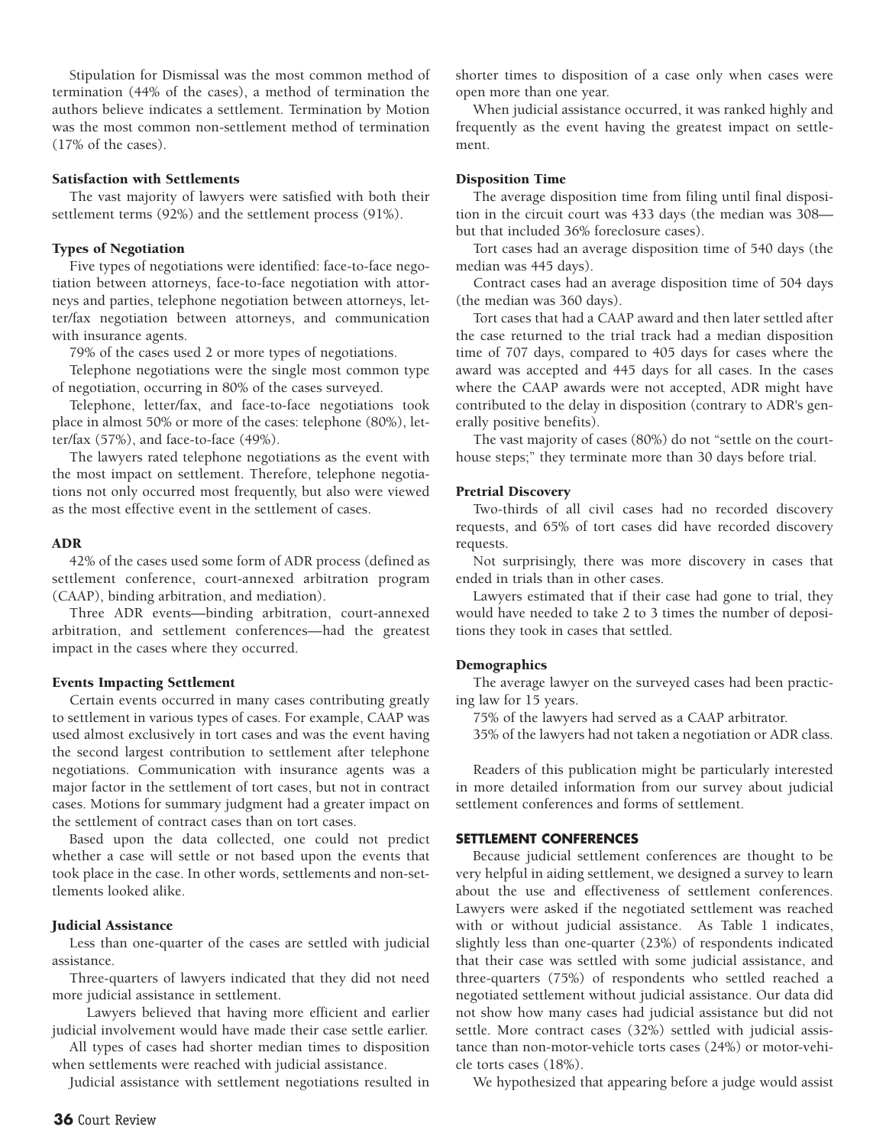Stipulation for Dismissal was the most common method of termination (44% of the cases), a method of termination the authors believe indicates a settlement. Termination by Motion was the most common non-settlement method of termination (17% of the cases).

#### **Satisfaction with Settlements**

The vast majority of lawyers were satisfied with both their settlement terms (92%) and the settlement process (91%).

## **Types of Negotiation**

Five types of negotiations were identified: face-to-face negotiation between attorneys, face-to-face negotiation with attorneys and parties, telephone negotiation between attorneys, letter/fax negotiation between attorneys, and communication with insurance agents.

79% of the cases used 2 or more types of negotiations.

Telephone negotiations were the single most common type of negotiation, occurring in 80% of the cases surveyed.

Telephone, letter/fax, and face-to-face negotiations took place in almost 50% or more of the cases: telephone (80%), letter/fax (57%), and face-to-face (49%).

The lawyers rated telephone negotiations as the event with the most impact on settlement. Therefore, telephone negotiations not only occurred most frequently, but also were viewed as the most effective event in the settlement of cases.

#### **ADR**

42% of the cases used some form of ADR process (defined as settlement conference, court-annexed arbitration program (CAAP), binding arbitration, and mediation).

Three ADR events—binding arbitration, court-annexed arbitration, and settlement conferences—had the greatest impact in the cases where they occurred.

#### **Events Impacting Settlement**

Certain events occurred in many cases contributing greatly to settlement in various types of cases. For example, CAAP was used almost exclusively in tort cases and was the event having the second largest contribution to settlement after telephone negotiations. Communication with insurance agents was a major factor in the settlement of tort cases, but not in contract cases. Motions for summary judgment had a greater impact on the settlement of contract cases than on tort cases.

Based upon the data collected, one could not predict whether a case will settle or not based upon the events that took place in the case. In other words, settlements and non-settlements looked alike.

#### **Judicial Assistance**

Less than one-quarter of the cases are settled with judicial assistance.

Three-quarters of lawyers indicated that they did not need more judicial assistance in settlement.

Lawyers believed that having more efficient and earlier judicial involvement would have made their case settle earlier.

All types of cases had shorter median times to disposition when settlements were reached with judicial assistance.

Judicial assistance with settlement negotiations resulted in

shorter times to disposition of a case only when cases were open more than one year.

When judicial assistance occurred, it was ranked highly and frequently as the event having the greatest impact on settlement.

#### **Disposition Time**

The average disposition time from filing until final disposition in the circuit court was 433 days (the median was 308 but that included 36% foreclosure cases).

Tort cases had an average disposition time of 540 days (the median was 445 days).

Contract cases had an average disposition time of 504 days (the median was 360 days).

Tort cases that had a CAAP award and then later settled after the case returned to the trial track had a median disposition time of 707 days, compared to 405 days for cases where the award was accepted and 445 days for all cases. In the cases where the CAAP awards were not accepted, ADR might have contributed to the delay in disposition (contrary to ADR's generally positive benefits).

The vast majority of cases (80%) do not "settle on the courthouse steps;" they terminate more than 30 days before trial.

#### **Pretrial Discovery**

Two-thirds of all civil cases had no recorded discovery requests, and 65% of tort cases did have recorded discovery requests.

Not surprisingly, there was more discovery in cases that ended in trials than in other cases.

Lawyers estimated that if their case had gone to trial, they would have needed to take 2 to 3 times the number of depositions they took in cases that settled.

#### **Demographics**

The average lawyer on the surveyed cases had been practicing law for 15 years.

75% of the lawyers had served as a CAAP arbitrator.

35% of the lawyers had not taken a negotiation or ADR class.

Readers of this publication might be particularly interested in more detailed information from our survey about judicial settlement conferences and forms of settlement.

## **SETTLEMENT CONFERENCES**

Because judicial settlement conferences are thought to be very helpful in aiding settlement, we designed a survey to learn about the use and effectiveness of settlement conferences. Lawyers were asked if the negotiated settlement was reached with or without judicial assistance. As Table 1 indicates, slightly less than one-quarter (23%) of respondents indicated that their case was settled with some judicial assistance, and three-quarters (75%) of respondents who settled reached a negotiated settlement without judicial assistance. Our data did not show how many cases had judicial assistance but did not settle. More contract cases (32%) settled with judicial assistance than non-motor-vehicle torts cases (24%) or motor-vehicle torts cases (18%).

We hypothesized that appearing before a judge would assist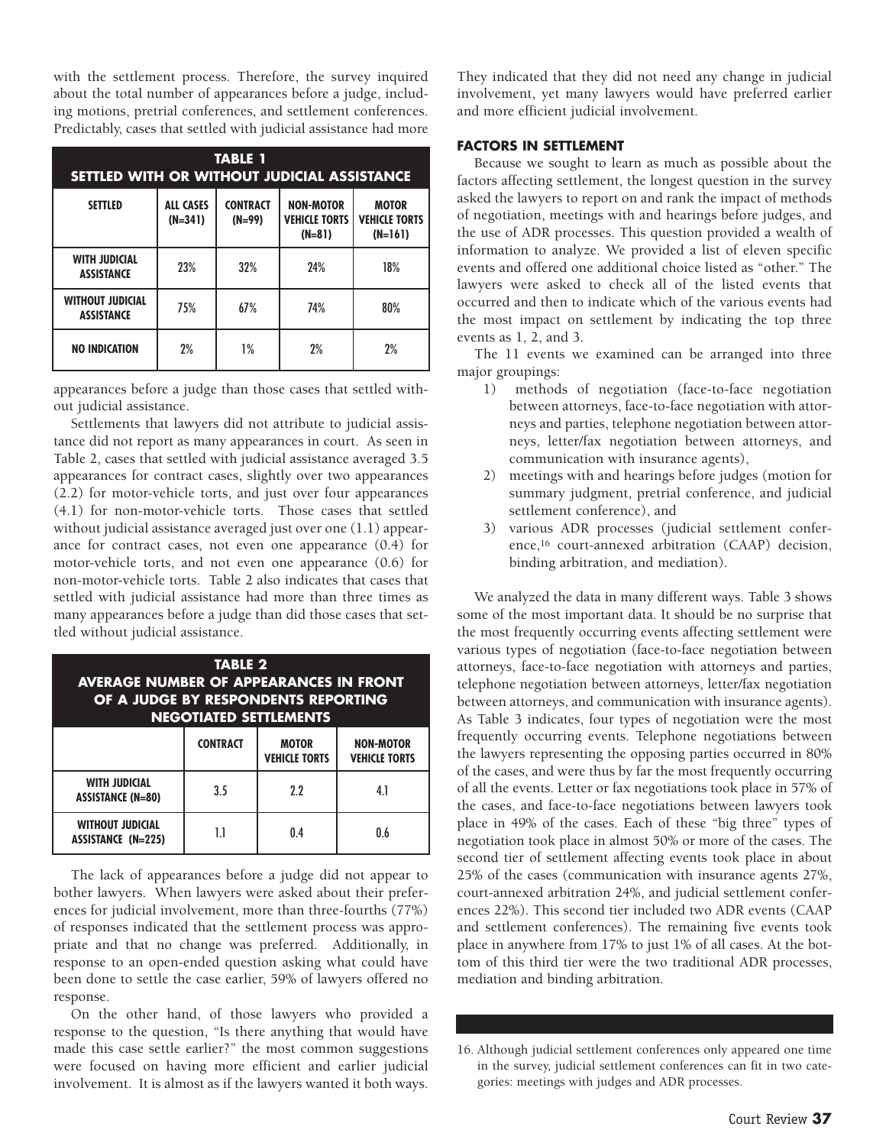with the settlement process. Therefore, the survey inquired about the total number of appearances before a judge, including motions, pretrial conferences, and settlement conferences. Predictably, cases that settled with judicial assistance had more

| <b>TABLE 1</b><br>SETTLED WITH OR WITHOUT JUDICIAL ASSISTANCE |                               |                             |                                                      |                                                   |  |  |  |  |
|---------------------------------------------------------------|-------------------------------|-----------------------------|------------------------------------------------------|---------------------------------------------------|--|--|--|--|
| <b>SETTLED</b>                                                | <b>ALL CASES</b><br>$(N=341)$ | <b>CONTRACT</b><br>$(N=99)$ | <b>NON-MOTOR</b><br><b>VEHICLE TORTS</b><br>$(N=81)$ | <b>MOTOR</b><br><b>VEHICLE TORTS</b><br>$(N=161)$ |  |  |  |  |
| <b>WITH JUDICIAL</b><br><b>ASSISTANCE</b>                     | 23%                           | 32%                         | 24%                                                  | 18%                                               |  |  |  |  |
| <b>WITHOUT JUDICIAL</b><br><b>ASSISTANCE</b>                  | 75%                           | 67%                         | 74%                                                  | 80%                                               |  |  |  |  |
| <b>NO INDICATION</b>                                          | 2%                            | 1%                          | 2%                                                   | 2%                                                |  |  |  |  |

appearances before a judge than those cases that settled without judicial assistance.

Settlements that lawyers did not attribute to judicial assistance did not report as many appearances in court. As seen in Table 2, cases that settled with judicial assistance averaged 3.5 appearances for contract cases, slightly over two appearances (2.2) for motor-vehicle torts, and just over four appearances (4.1) for non-motor-vehicle torts. Those cases that settled without judicial assistance averaged just over one (1.1) appearance for contract cases, not even one appearance (0.4) for motor-vehicle torts, and not even one appearance (0.6) for non-motor-vehicle torts. Table 2 also indicates that cases that settled with judicial assistance had more than three times as many appearances before a judge than did those cases that settled without judicial assistance.

| <b>TABLE 2</b><br><b>AVERAGE NUMBER OF APPEARANCES IN FRONT</b><br>OF A JUDGE BY RESPONDENTS REPORTING<br><b>NEGOTIATED SETTLEMENTS</b> |                 |                                      |                                          |  |  |  |  |
|-----------------------------------------------------------------------------------------------------------------------------------------|-----------------|--------------------------------------|------------------------------------------|--|--|--|--|
|                                                                                                                                         | <b>CONTRACT</b> | <b>MOTOR</b><br><b>VEHICLE TORTS</b> | <b>NON-MOTOR</b><br><b>VEHICLE TORTS</b> |  |  |  |  |
| <b>WITH JUDICIAL</b><br><b>ASSISTANCE (N=80)</b>                                                                                        | 3.5             | 22                                   | 4.1                                      |  |  |  |  |
| <b>WITHOUT JUDICIAL</b><br>ASSISTANCE (N=225)                                                                                           |                 | 04                                   | በ 6                                      |  |  |  |  |

The lack of appearances before a judge did not appear to bother lawyers. When lawyers were asked about their preferences for judicial involvement, more than three-fourths (77%) of responses indicated that the settlement process was appropriate and that no change was preferred. Additionally, in response to an open-ended question asking what could have been done to settle the case earlier, 59% of lawyers offered no response.

On the other hand, of those lawyers who provided a response to the question, "Is there anything that would have made this case settle earlier?" the most common suggestions were focused on having more efficient and earlier judicial involvement. It is almost as if the lawyers wanted it both ways. They indicated that they did not need any change in judicial involvement, yet many lawyers would have preferred earlier and more efficient judicial involvement.

# **FACTORS IN SETTLEMENT**

Because we sought to learn as much as possible about the factors affecting settlement, the longest question in the survey asked the lawyers to report on and rank the impact of methods of negotiation, meetings with and hearings before judges, and the use of ADR processes. This question provided a wealth of information to analyze. We provided a list of eleven specific events and offered one additional choice listed as "other." The lawyers were asked to check all of the listed events that occurred and then to indicate which of the various events had the most impact on settlement by indicating the top three events as 1, 2, and 3.

The 11 events we examined can be arranged into three major groupings:

- 1) methods of negotiation (face-to-face negotiation between attorneys, face-to-face negotiation with attorneys and parties, telephone negotiation between attorneys, letter/fax negotiation between attorneys, and communication with insurance agents),
- 2) meetings with and hearings before judges (motion for summary judgment, pretrial conference, and judicial settlement conference), and
- 3) various ADR processes (judicial settlement conference,16 court-annexed arbitration (CAAP) decision, binding arbitration, and mediation).

We analyzed the data in many different ways. Table 3 shows some of the most important data. It should be no surprise that the most frequently occurring events affecting settlement were various types of negotiation (face-to-face negotiation between attorneys, face-to-face negotiation with attorneys and parties, telephone negotiation between attorneys, letter/fax negotiation between attorneys, and communication with insurance agents). As Table 3 indicates, four types of negotiation were the most frequently occurring events. Telephone negotiations between the lawyers representing the opposing parties occurred in 80% of the cases, and were thus by far the most frequently occurring of all the events. Letter or fax negotiations took place in 57% of the cases, and face-to-face negotiations between lawyers took place in 49% of the cases. Each of these "big three" types of negotiation took place in almost 50% or more of the cases. The second tier of settlement affecting events took place in about 25% of the cases (communication with insurance agents 27%, court-annexed arbitration 24%, and judicial settlement conferences 22%). This second tier included two ADR events (CAAP and settlement conferences). The remaining five events took place in anywhere from 17% to just 1% of all cases. At the bottom of this third tier were the two traditional ADR processes, mediation and binding arbitration.

<sup>16.</sup> Although judicial settlement conferences only appeared one time in the survey, judicial settlement conferences can fit in two categories: meetings with judges and ADR processes.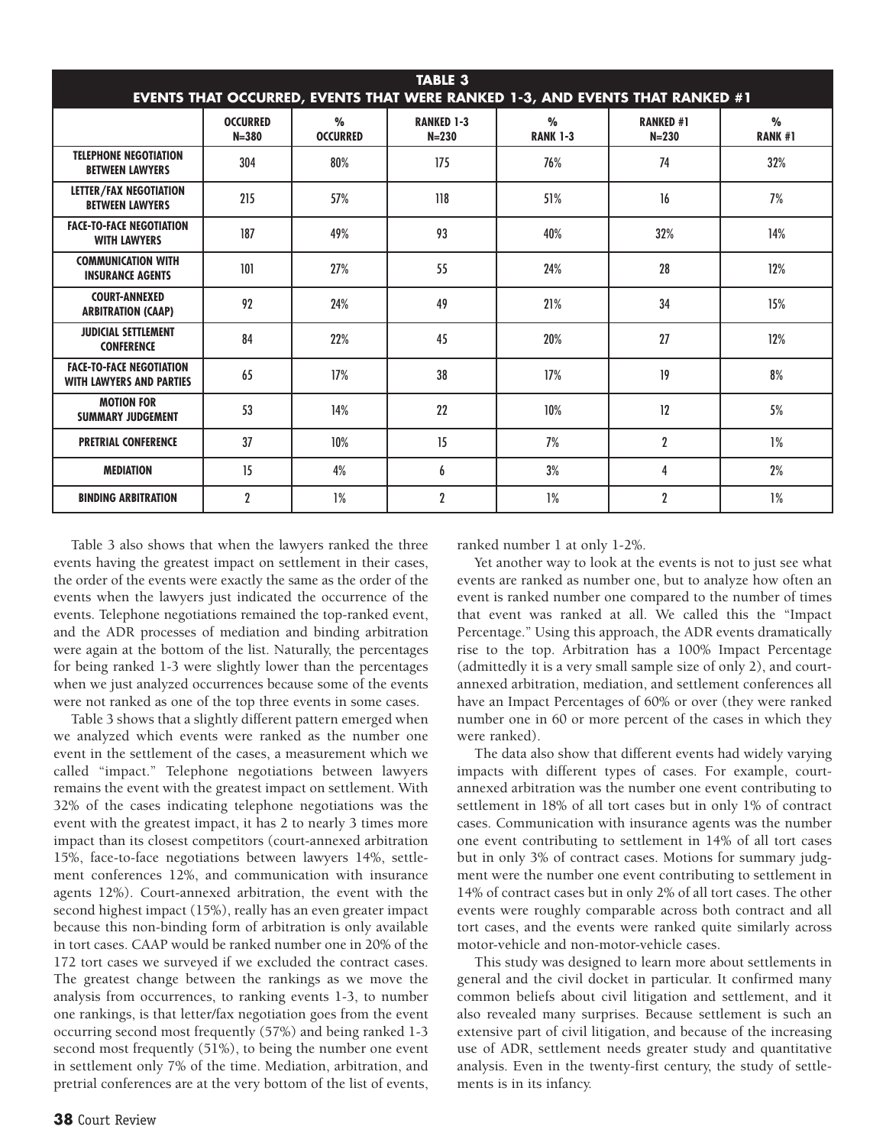| <b>TABLE 3</b><br><b>EVENTS THAT OCCURRED, EVENTS THAT WERE RANKED 1-3, AND EVENTS THAT RANKED #1</b> |                              |                                  |                                |                                  |                               |                                 |  |  |  |
|-------------------------------------------------------------------------------------------------------|------------------------------|----------------------------------|--------------------------------|----------------------------------|-------------------------------|---------------------------------|--|--|--|
|                                                                                                       | <b>OCCURRED</b><br>$N = 380$ | $\frac{0}{0}$<br><b>OCCURRED</b> | <b>RANKED 1-3</b><br>$N = 230$ | $\frac{0}{0}$<br><b>RANK 1-3</b> | <b>RANKED #1</b><br>$N = 230$ | $\frac{0}{0}$<br><b>RANK #1</b> |  |  |  |
| <b>TELEPHONE NEGOTIATION</b><br><b>BETWEEN LAWYERS</b>                                                | 304                          | 80%                              | 175                            | 76%                              | 74                            | 32%                             |  |  |  |
| LETTER/FAX NEGOTIATION<br><b>BETWEEN LAWYERS</b>                                                      | 215                          | 57%                              | 118                            | 51%                              | 16                            | 7%                              |  |  |  |
| <b>FACE-TO-FACE NEGOTIATION</b><br><b>WITH LAWYERS</b>                                                | 187                          | 49%                              | 93                             | 40%                              | 32%                           | 14%                             |  |  |  |
| <b>COMMUNICATION WITH</b><br><b>INSURANCE AGENTS</b>                                                  | 101                          | 27%                              | 55                             | 24%                              | 28                            | 12%                             |  |  |  |
| <b>COURT-ANNEXED</b><br><b>ARBITRATION (CAAP)</b>                                                     | 92                           | 24%                              | 49                             | 21%                              | 34                            | 15%                             |  |  |  |
| <b>JUDICIAL SETTLEMENT</b><br><b>CONFERENCE</b>                                                       | 84                           | 22%                              | 45                             | 20%                              | 27                            | 12%                             |  |  |  |
| <b>FACE-TO-FACE NEGOTIATION</b><br><b>WITH LAWYERS AND PARTIES</b>                                    | 65                           | 17%                              | 38                             | 17%                              | 19                            | 8%                              |  |  |  |
| <b>MOTION FOR</b><br><b>SUMMARY JUDGEMENT</b>                                                         | 53                           | 14%                              | 22                             | 10%                              | 12                            | 5%                              |  |  |  |
| <b>PRETRIAL CONFERENCE</b>                                                                            | 37                           | 10%                              | 15                             | 7%                               | $\mathbf{2}$                  | 1%                              |  |  |  |
| <b>MEDIATION</b>                                                                                      | 15                           | 4%                               | 6                              | 3%                               | 4                             | 2%                              |  |  |  |
| <b>BINDING ARBITRATION</b>                                                                            | $\mathbf{2}$                 | $1\%$                            | 2                              | 1%                               | $\overline{2}$                | 1%                              |  |  |  |

Table 3 also shows that when the lawyers ranked the three events having the greatest impact on settlement in their cases, the order of the events were exactly the same as the order of the events when the lawyers just indicated the occurrence of the events. Telephone negotiations remained the top-ranked event, and the ADR processes of mediation and binding arbitration were again at the bottom of the list. Naturally, the percentages for being ranked 1-3 were slightly lower than the percentages when we just analyzed occurrences because some of the events were not ranked as one of the top three events in some cases.

Table 3 shows that a slightly different pattern emerged when we analyzed which events were ranked as the number one event in the settlement of the cases, a measurement which we called "impact." Telephone negotiations between lawyers remains the event with the greatest impact on settlement. With 32% of the cases indicating telephone negotiations was the event with the greatest impact, it has 2 to nearly 3 times more impact than its closest competitors (court-annexed arbitration 15%, face-to-face negotiations between lawyers 14%, settlement conferences 12%, and communication with insurance agents 12%). Court-annexed arbitration, the event with the second highest impact (15%), really has an even greater impact because this non-binding form of arbitration is only available in tort cases. CAAP would be ranked number one in 20% of the 172 tort cases we surveyed if we excluded the contract cases. The greatest change between the rankings as we move the analysis from occurrences, to ranking events 1-3, to number one rankings, is that letter/fax negotiation goes from the event occurring second most frequently (57%) and being ranked 1-3 second most frequently (51%), to being the number one event in settlement only 7% of the time. Mediation, arbitration, and pretrial conferences are at the very bottom of the list of events, ranked number 1 at only 1-2%.

Yet another way to look at the events is not to just see what events are ranked as number one, but to analyze how often an event is ranked number one compared to the number of times that event was ranked at all. We called this the "Impact Percentage." Using this approach, the ADR events dramatically rise to the top. Arbitration has a 100% Impact Percentage (admittedly it is a very small sample size of only 2), and courtannexed arbitration, mediation, and settlement conferences all have an Impact Percentages of 60% or over (they were ranked number one in 60 or more percent of the cases in which they were ranked).

The data also show that different events had widely varying impacts with different types of cases. For example, courtannexed arbitration was the number one event contributing to settlement in 18% of all tort cases but in only 1% of contract cases. Communication with insurance agents was the number one event contributing to settlement in 14% of all tort cases but in only 3% of contract cases. Motions for summary judgment were the number one event contributing to settlement in 14% of contract cases but in only 2% of all tort cases. The other events were roughly comparable across both contract and all tort cases, and the events were ranked quite similarly across motor-vehicle and non-motor-vehicle cases.

This study was designed to learn more about settlements in general and the civil docket in particular. It confirmed many common beliefs about civil litigation and settlement, and it also revealed many surprises. Because settlement is such an extensive part of civil litigation, and because of the increasing use of ADR, settlement needs greater study and quantitative analysis. Even in the twenty-first century, the study of settlements is in its infancy.